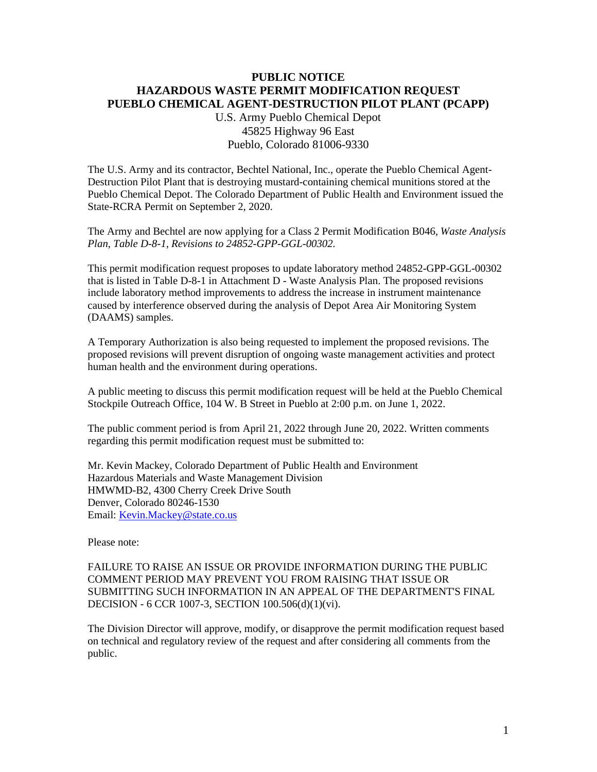## **PUBLIC NOTICE HAZARDOUS WASTE PERMIT MODIFICATION REQUEST PUEBLO CHEMICAL AGENT-DESTRUCTION PILOT PLANT (PCAPP)**

U.S. Army Pueblo Chemical Depot 45825 Highway 96 East Pueblo, Colorado 81006-9330

The U.S. Army and its contractor, Bechtel National, Inc., operate the Pueblo Chemical Agent-Destruction Pilot Plant that is destroying mustard-containing chemical munitions stored at the Pueblo Chemical Depot. The Colorado Department of Public Health and Environment issued the State-RCRA Permit on September 2, 2020.

The Army and Bechtel are now applying for a Class 2 Permit Modification B046, *Waste Analysis Plan, Table D-8-1, Revisions to 24852-GPP-GGL-00302.*

This permit modification request proposes to update laboratory method 24852-GPP-GGL-00302 that is listed in Table D-8-1 in Attachment D - Waste Analysis Plan. The proposed revisions include laboratory method improvements to address the increase in instrument maintenance caused by interference observed during the analysis of Depot Area Air Monitoring System (DAAMS) samples.

A Temporary Authorization is also being requested to implement the proposed revisions. The proposed revisions will prevent disruption of ongoing waste management activities and protect human health and the environment during operations.

A public meeting to discuss this permit modification request will be held at the Pueblo Chemical Stockpile Outreach Office, 104 W. B Street in Pueblo at 2:00 p.m. on June 1, 2022.

The public comment period is from April 21, 2022 through June 20, 2022. Written comments regarding this permit modification request must be submitted to:

Mr. Kevin Mackey, Colorado Department of Public Health and Environment Hazardous Materials and Waste Management Division HMWMD-B2, 4300 Cherry Creek Drive South Denver, Colorado 80246-1530 Email: [Kevin.Mackey@state.co.us](mailto:Kevin.Mackey@state.co.us)

Please note:

FAILURE TO RAISE AN ISSUE OR PROVIDE INFORMATION DURING THE PUBLIC COMMENT PERIOD MAY PREVENT YOU FROM RAISING THAT ISSUE OR SUBMITTING SUCH INFORMATION IN AN APPEAL OF THE DEPARTMENT'S FINAL DECISION - 6 CCR 1007-3, SECTION 100.506(d)(1)(vi).

The Division Director will approve, modify, or disapprove the permit modification request based on technical and regulatory review of the request and after considering all comments from the public.